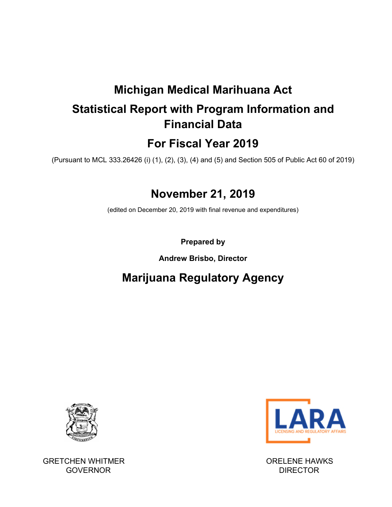# **Michigan Medical Marihuana Act**

# **Statistical Report with Program Information and Financial Data**

# **For Fiscal Year 2019**

(Pursuant to MCL 333.26426 (i) (1), (2), (3), (4) and (5) and Section 505 of Public Act 60 of 2019)

# **November 21, 2019**

(edited on December 20, 2019 with final revenue and expenditures)

**Prepared by** 

# **Andrew Brisbo, Director**

# **Marijuana Regulatory Agency**



GRETCHEN WHITMER **GRETCHEN WHITMER ORELENE HAWKS** GOVERNOR DIRECTOR DIRECTOR

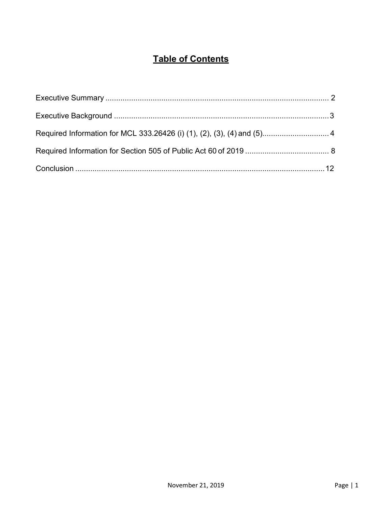# **Table of Contents**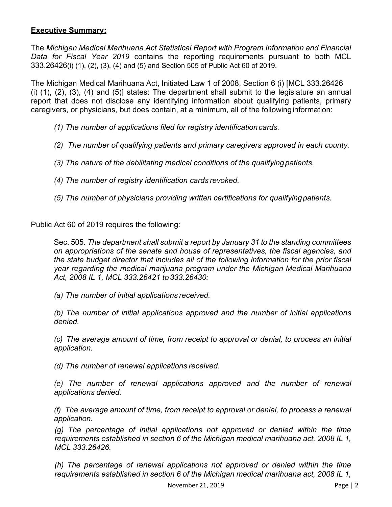## **Executive Summary:**

The *Michigan Medical Marihuana Act Statistical Report with Program Information and Financial Data for Fiscal Year 2019* contains the reporting requirements pursuant to both MCL 333.26426(i) (1), (2), (3), (4) and (5) and Section 505 of Public Act 60 of 2019.

The Michigan Medical Marihuana Act, Initiated Law 1 of 2008, Section 6 (i) [MCL 333.26426 (i) (1), (2), (3), (4) and (5)] states: The department shall submit to the legislature an annual report that does not disclose any identifying information about qualifying patients, primary caregivers, or physicians, but does contain, at a minimum, all of the following information:

- *(1) The number of applications filed for registry identification cards.*
- *(2) The number of qualifying patients and primary caregivers approved in each county.*
- *(3) The nature of the debilitating medical conditions of the qualifying patients.*
- *(4) The number of registry identification cards revoked.*
- *(5) The number of physicians providing written certifications for qualifying patients.*

Public Act 60 of 2019 requires the following:

Sec. 505*. The department shall submit a report by January 31 to the standing committees on appropriations of the senate and house of representatives, the fiscal agencies, and the state budget director that includes all of the following information for the prior fiscal year regarding the medical marijuana program under the Michigan Medical Marihuana Act, 2008 IL 1, MCL 333.26421 to 333.26430:* 

*(a) The number of initial applications received.* 

*(b) The number of initial applications approved and the number of initial applications denied.* 

*(c) The average amount of time, from receipt to approval or denial, to process an initial application.* 

*(d) The number of renewal applications received.* 

*(e) The number of renewal applications approved and the number of renewal applications denied.* 

*(f) The average amount of time, from receipt to approval or denial, to process a renewal application.* 

*(g) The percentage of initial applications not approved or denied within the time requirements established in section 6 of the Michigan medical marihuana act, 2008 IL 1, MCL 333.26426.* 

*(h) The percentage of renewal applications not approved or denied within the time requirements established in section 6 of the Michigan medical marihuana act, 2008 IL 1,*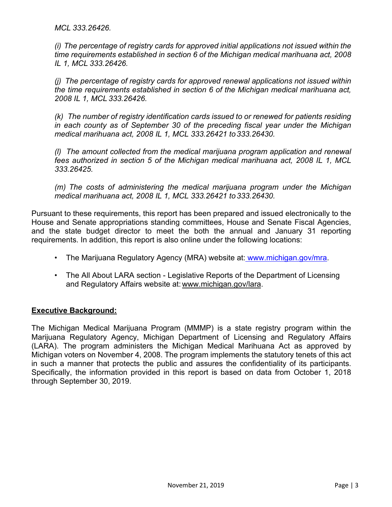*MCL 333.26426.* 

*(i) The percentage of registry cards for approved initial applications not issued within the time requirements established in section 6 of the Michigan medical marihuana act, 2008 IL 1, MCL 333.26426.* 

*(j) The percentage of registry cards for approved renewal applications not issued within the time requirements established in section 6 of the Michigan medical marihuana act, 2008 IL 1, MCL 333.26426.* 

*(k) The number of registry identification cards issued to or renewed for patients residing in each county as of September 30 of the preceding fiscal year under the Michigan medical marihuana act, 2008 IL 1, MCL 333.26421 to 333.26430.* 

*(l) The amount collected from the medical marijuana program application and renewal fees authorized in section 5 of the Michigan medical marihuana act, 2008 IL 1, MCL 333.26425.* 

*(m) The costs of administering the medical marijuana program under the Michigan medical marihuana act, 2008 IL 1, MCL 333.26421 to 333.26430.* 

Pursuant to these requirements, this report has been prepared and issued electronically to the House and Senate appropriations standing committees, House and Senate Fiscal Agencies, and the state budget director to meet the both the annual and January 31 reporting requirements. In addition, this report is also online under the following locations:

- The Marijuana Regulatory Agency (MRA) website at: www.michigan.gov/mra.
- The All About LARA section Legislative Reports of the Department of Licensing and Regulatory Affairs website at: www.michigan.gov/lara.

#### **Executive Background:**

The Michigan Medical Marijuana Program (MMMP) is a state registry program within the Marijuana Regulatory Agency, Michigan Department of Licensing and Regulatory Affairs (LARA). The program administers the Michigan Medical Marihuana Act as approved by Michigan voters on November 4, 2008. The program implements the statutory tenets of this act in such a manner that protects the public and assures the confidentiality of its participants. Specifically, the information provided in this report is based on data from October 1, 2018 through September 30, 2019.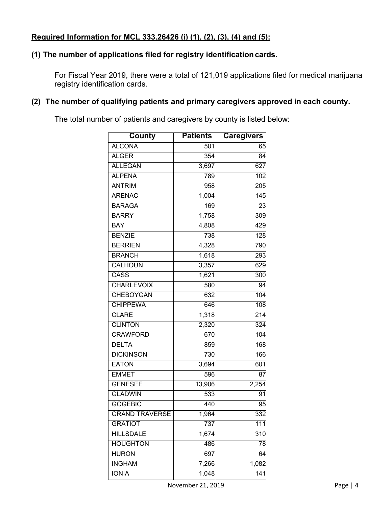## **(1) The number of applications filed for registry identification cards.**

For Fiscal Year 2019, there were a total of 121,019 applications filed for medical marijuana registry identification cards.

# **(2) The number of qualifying patients and primary caregivers approved in each county.**

The total number of patients and caregivers by county is listed below:

| County                | <b>Patients</b>    | <b>Caregivers</b> |
|-----------------------|--------------------|-------------------|
| <b>ALCONA</b>         | 501                | 65                |
| <b>ALGER</b>          | $\overline{354}$   | 84                |
| <b>ALLEGAN</b>        | 3,697              | 627               |
| <b>ALPENA</b>         | 789                | 102               |
| <b>ANTRIM</b>         | 958                | 205               |
| <b>ARENAC</b>         | 1,004              | $\overline{145}$  |
| <b>BARAGA</b>         | 169                | 23                |
| <b>BARRY</b>          | 1,758              | 309               |
| <b>BAY</b>            | 4,808              | 429               |
| <b>BENZIE</b>         | 738                | 128               |
| <b>BERRIEN</b>        | 4,328              | 790               |
| <b>BRANCH</b>         | $\overline{1,618}$ | 293               |
| <b>CALHOUN</b>        | 3,357              | 629               |
| <b>CASS</b>           | 1,621              | $\overline{3}00$  |
| <b>CHARLEVOIX</b>     | 580                | 94                |
| <b>CHEBOYGAN</b>      | 632                | 104               |
| <b>CHIPPEWA</b>       | 646                | 108               |
| <b>CLARE</b>          | 1,318              | 214               |
| <b>CLINTON</b>        | 2,320              | 324               |
| <b>CRAWFORD</b>       | 670                | 104               |
| <b>DELTA</b>          | 859                | 168               |
| <b>DICKINSON</b>      | 730                | 166               |
| <b>EATON</b>          | 3,694              | 601               |
| <b>EMMET</b>          | 596                | 87                |
| <b>GENESEE</b>        | 13,906             | 2,254             |
| <b>GLADWIN</b>        | 533                | 91                |
| <b>GOGEBIC</b>        | 440                | 95                |
| <b>GRAND TRAVERSE</b> | 1,964              | 332               |
| <b>GRATIOT</b>        | 737                | 111               |
| <b>HILLSDALE</b>      | 1,674              | 310               |
| <b>HOUGHTON</b>       | 486                | 78                |
| <b>HURON</b>          | 697                | 64                |
| <b>INGHAM</b>         | 7,266              | 1,082             |
| <b>IONIA</b>          | 1,048              | $\overline{141}$  |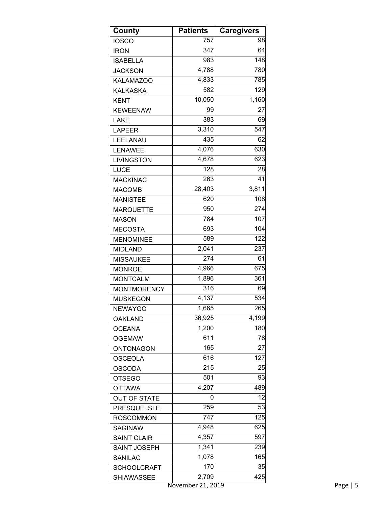| County              | <b>Patients</b> | <b>Caregivers</b>  |
|---------------------|-----------------|--------------------|
| <b>IOSCO</b>        | 757             | 98                 |
| <b>IRON</b>         | 347             | 64                 |
| <b>ISABELLA</b>     | 983             | 148                |
| <b>JACKSON</b>      | 4,788           | 780                |
| <b>KALAMAZOO</b>    | 4,833           | 785                |
| <b>KALKASKA</b>     | 582             | 129                |
| <b>KENT</b>         | 10,050          | $\overline{1,}160$ |
| <b>KEWEENAW</b>     | 99              | 27                 |
| <b>LAKE</b>         | 383             | 69                 |
| <b>LAPEER</b>       | 3,310           | 547                |
| LEELANAU            | 435             | 62                 |
| <b>LENAWEE</b>      | 4,076           | 630                |
| LIVINGSTON          | 4,678           | 623                |
| <b>LUCE</b>         | 128             | 28                 |
| <b>MACKINAC</b>     | 263             | 41                 |
| <b>MACOMB</b>       | 28,403          | 3,811              |
| <b>MANISTEE</b>     | 620             | 108                |
| <b>MARQUETTE</b>    | 950             | 274                |
| <b>MASON</b>        | 784             | 107                |
| <b>MECOSTA</b>      | 693             | 104                |
| <b>MENOMINEE</b>    | 589             | 122                |
| <b>MIDLAND</b>      | 2,041           | 237                |
| <b>MISSAUKEE</b>    | 274             | 61                 |
| <b>MONROE</b>       | 4,966           | 675                |
| <b>MONTCALM</b>     | 1,896           | 361                |
| <b>MONTMORENCY</b>  | 316             | 69                 |
| <b>MUSKEGON</b>     | 4,137           | 534                |
| <b>NEWAYGO</b>      | 1,665           | 265                |
| <b>OAKLAND</b>      | 36,925          | 4,199              |
| <b>OCEANA</b>       | 1,200           | 180                |
| <b>OGEMAW</b>       | 611             | 78                 |
| ONTONAGON           | 165             | 27                 |
| <b>OSCEOLA</b>      | 616             | 127                |
| <b>OSCODA</b>       | 215             | 25                 |
| <b>OTSEGO</b>       | 501             | 93                 |
| <b>OTTAWA</b>       | 4,207           | 489                |
| <b>OUT OF STATE</b> | 0               | 12                 |
| PRESQUE ISLE        | 259             | 53                 |
| <b>ROSCOMMON</b>    | 747             | 125                |
| <b>SAGINAW</b>      | 4,948           | 625                |
| <b>SAINT CLAIR</b>  | 4,357           | 597                |
| <b>SAINT JOSEPH</b> | 1,341           | 239                |
| SANILAC             | 1,078           | 165                |
| <b>SCHOOLCRAFT</b>  | 170             | 35                 |
| <b>SHIAWASSEE</b>   | 2,709           | 425                |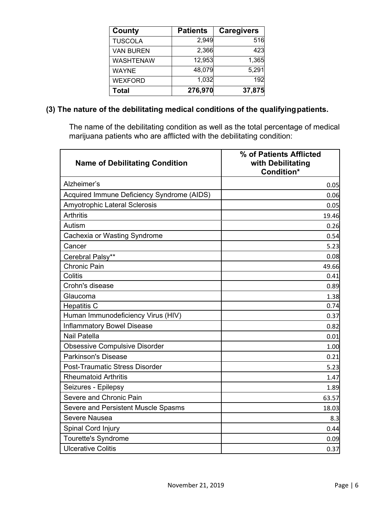| County           | <b>Patients</b> | <b>Caregivers</b> |
|------------------|-----------------|-------------------|
| <b>TUSCOLA</b>   | 2,949           | 516               |
| <b>VAN BUREN</b> | 2,366           | 423               |
| <b>WASHTENAW</b> | 12,953          | 1,365             |
| <b>WAYNE</b>     | 48,079          | 5,291             |
| <b>WEXFORD</b>   | 1,032           | 192               |
| <b>Total</b>     | 276,970         | 37,875            |

## **(3) The nature of the debilitating medical conditions of the qualifying patients.**

The name of the debilitating condition as well as the total percentage of medical marijuana patients who are afflicted with the debilitating condition:

| <b>Name of Debilitating Condition</b>      | % of Patients Afflicted<br>with Debilitating<br>Condition* |
|--------------------------------------------|------------------------------------------------------------|
| Alzheimer's                                | 0.05                                                       |
| Acquired Immune Deficiency Syndrome (AIDS) | 0.06                                                       |
| Amyotrophic Lateral Sclerosis              | 0.05                                                       |
| <b>Arthritis</b>                           | 19.46                                                      |
| Autism                                     | 0.26                                                       |
| Cachexia or Wasting Syndrome               | 0.54                                                       |
| Cancer                                     | 5.23                                                       |
| Cerebral Palsy**                           | 0.08                                                       |
| <b>Chronic Pain</b>                        | 49.66                                                      |
| Colitis                                    | 0.41                                                       |
| Crohn's disease                            | 0.89                                                       |
| Glaucoma                                   | 1.38                                                       |
| <b>Hepatitis C</b>                         | 0.74                                                       |
| Human Immunodeficiency Virus (HIV)         | 0.37                                                       |
| <b>Inflammatory Bowel Disease</b>          | 0.82                                                       |
| Nail Patella                               | 0.01                                                       |
| <b>Obsessive Compulsive Disorder</b>       | 1.00                                                       |
| Parkinson's Disease                        | 0.21                                                       |
| <b>Post-Traumatic Stress Disorder</b>      | 5.23                                                       |
| <b>Rheumatoid Arthritis</b>                | 1.47                                                       |
| Seizures - Epilepsy                        | 1.89                                                       |
| Severe and Chronic Pain                    | 63.57                                                      |
| Severe and Persistent Muscle Spasms        | 18.03                                                      |
| <b>Severe Nausea</b>                       | 8.3                                                        |
| Spinal Cord Injury                         | 0.44                                                       |
| <b>Tourette's Syndrome</b>                 | 0.09                                                       |
| <b>Ulcerative Colitis</b>                  | 0.37                                                       |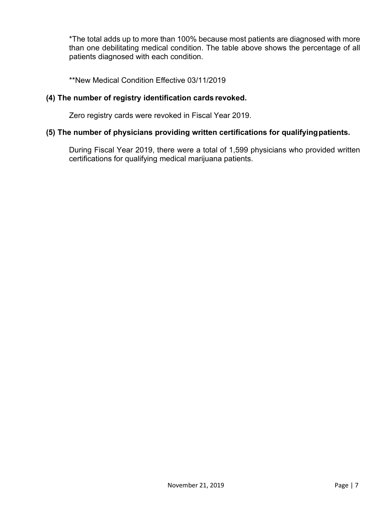\*The total adds up to more than 100% because most patients are diagnosed with more than one debilitating medical condition. The table above shows the percentage of all patients diagnosed with each condition.

\*\*New Medical Condition Effective 03/11/2019

#### **(4) The number of registry identification cards revoked.**

Zero registry cards were revoked in Fiscal Year 2019.

#### **(5) The number of physicians providing written certifications for qualifying patients.**

During Fiscal Year 2019, there were a total of 1,599 physicians who provided written certifications for qualifying medical marijuana patients.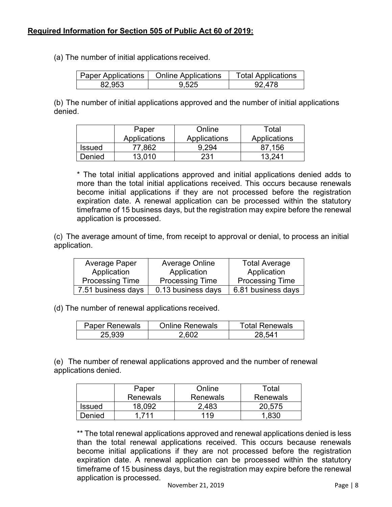(a) The number of initial applications received.

|        | Paper Applications   Online Applications | <b>Total Applications</b> |
|--------|------------------------------------------|---------------------------|
| 82.953 | 9.525                                    | 92 478                    |

(b) The number of initial applications approved and the number of initial applications denied.

|               | Paper        | Online       | Total        |
|---------------|--------------|--------------|--------------|
|               | Applications | Applications | Applications |
| <b>Issued</b> | 77,862       | 9.294        | 87.156       |
| Denied        | 13.010       | 231          | 13 241       |

\* The total initial applications approved and initial applications denied adds to more than the total initial applications received. This occurs because renewals become initial applications if they are not processed before the registration expiration date. A renewal application can be processed within the statutory timeframe of 15 business days, but the registration may expire before the renewal application is processed.

(c) The average amount of time, from receipt to approval or denial, to process an initial application.

| Average Paper          | <b>Average Online</b>  | <b>Total Average</b>   |
|------------------------|------------------------|------------------------|
| Application            | Application            | Application            |
| <b>Processing Time</b> | <b>Processing Time</b> | <b>Processing Time</b> |
| 7.51 business days     | 0.13 business days     | 6.81 business days     |

(d) The number of renewal applications received.

| <b>Paper Renewals</b> | <b>Online Renewals</b> | <b>Total Renewals</b> |
|-----------------------|------------------------|-----------------------|
| 25.939                | 2 RN2                  | 28 541                |

(e) The number of renewal applications approved and the number of renewal applications denied.

|               | Paper           | Online          | Total           |
|---------------|-----------------|-----------------|-----------------|
|               | <b>Renewals</b> | <b>Renewals</b> | <b>Renewals</b> |
| <b>Issued</b> | 18.092          | 2,483           | 20,575          |
| Denied        | 711             | 119             |                 |

\*\* The total renewal applications approved and renewal applications denied is less than the total renewal applications received. This occurs because renewals become initial applications if they are not processed before the registration expiration date. A renewal application can be processed within the statutory timeframe of 15 business days, but the registration may expire before the renewal application is processed.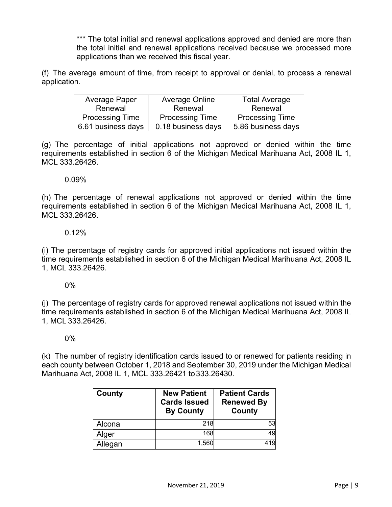\*\*\* The total initial and renewal applications approved and denied are more than the total initial and renewal applications received because we processed more applications than we received this fiscal year.

(f) The average amount of time, from receipt to approval or denial, to process a renewal application.

| Average Paper          | Average Online         | <b>Total Average</b>   |
|------------------------|------------------------|------------------------|
| Renewal                | Renewal                | Renewal                |
| <b>Processing Time</b> | <b>Processing Time</b> | <b>Processing Time</b> |
| 6.61 business days     | 0.18 business days     | 5.86 business days     |

(g) The percentage of initial applications not approved or denied within the time requirements established in section 6 of the Michigan Medical Marihuana Act, 2008 IL 1, MCL 333.26426.

0.09%

(h) The percentage of renewal applications not approved or denied within the time requirements established in section 6 of the Michigan Medical Marihuana Act, 2008 IL 1, MCL 333.26426.

### 0.12%

(i) The percentage of registry cards for approved initial applications not issued within the time requirements established in section 6 of the Michigan Medical Marihuana Act, 2008 IL 1, MCL 333.26426.

0%

(j) The percentage of registry cards for approved renewal applications not issued within the time requirements established in section 6 of the Michigan Medical Marihuana Act, 2008 IL 1, MCL 333.26426.

0%

(k) The number of registry identification cards issued to or renewed for patients residing in each county between October 1, 2018 and September 30, 2019 under the Michigan Medical Marihuana Act, 2008 IL 1, MCL 333.26421 to 333.26430.

| County  | <b>New Patient</b><br><b>Cards Issued</b><br><b>By County</b> | <b>Patient Cards</b><br><b>Renewed By</b><br><b>County</b> |
|---------|---------------------------------------------------------------|------------------------------------------------------------|
| Alcona  | 218                                                           | 53                                                         |
| Alger   | 168                                                           | 49                                                         |
| Allegan | 1,560                                                         | 419                                                        |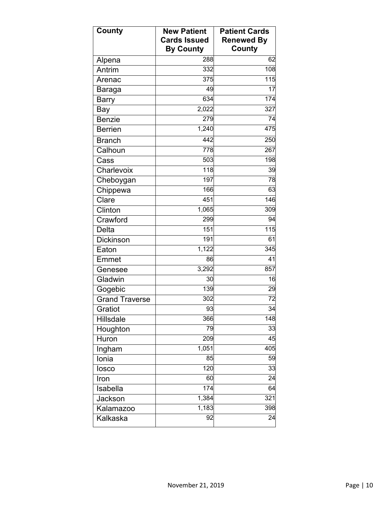| <b>County</b>    | <b>New Patient</b><br><b>Cards Issued</b> | <b>Patient Cards</b><br><b>Renewed By</b> |
|------------------|-------------------------------------------|-------------------------------------------|
|                  | <b>By County</b>                          | County                                    |
| Alpena           | 288                                       | 62                                        |
| Antrim           | 332                                       | 108                                       |
| Arenac           | 375                                       | 115                                       |
| <b>Baraga</b>    | 49                                        | 17                                        |
| <b>Barry</b>     | 634                                       | 174                                       |
| Bay              | 2,022                                     | 327                                       |
| <b>Benzie</b>    | 279                                       | 74                                        |
| <b>Berrien</b>   | 1,240                                     | 475                                       |
| <b>Branch</b>    | 442                                       | 250                                       |
| Calhoun          | 778                                       | 267                                       |
| Cass             | 503                                       | 198                                       |
| Charlevoix       | $\overline{1}$ 18                         | 39                                        |
| Cheboygan        | 197                                       | 78                                        |
| Chippewa         | 166                                       | 63                                        |
| Clare            | 451                                       | 146                                       |
| Clinton          | 1,065                                     | 309                                       |
| Crawford         | 299                                       | 94                                        |
| <b>Delta</b>     | 151                                       | 115                                       |
| <b>Dickinson</b> | 191                                       | 61                                        |
| Eaton            | 1,122                                     | 345                                       |
| Emmet            | 86                                        | 41                                        |
| Genesee          | 3,292                                     | 857                                       |
| Gladwin          | 30                                        | 16                                        |
| Gogebic          | 139                                       | 29                                        |
| Grand Traverse   | 302                                       | 72                                        |
| Gratiot          | 93                                        | $\overline{34}$                           |
| Hillsdale        | 366                                       | 148                                       |
| Houghton         | 79                                        | $\overline{33}$                           |
| Huron            | 209                                       | 45                                        |
| Ingham           | 1,051                                     | 405                                       |
| Ionia            | 85                                        | 59                                        |
| losco            | 120                                       | 33                                        |
| Iron             | 60                                        | 24                                        |
| Isabella         | 174                                       | 64                                        |
| Jackson          | 1,384                                     | 321                                       |
| <b>Kalamazoo</b> | 1,183                                     | 398                                       |
| Kalkaska         | 92                                        | 24                                        |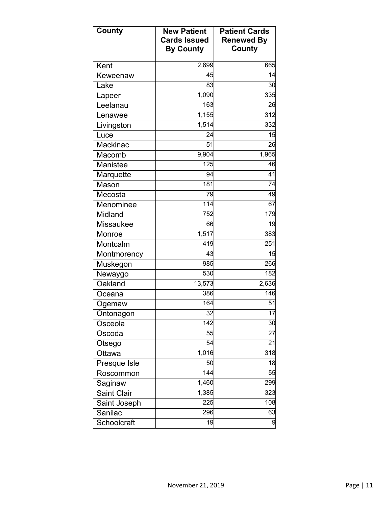| <b>County</b>      | <b>New Patient</b><br><b>Cards Issued</b><br><b>By County</b> | <b>Patient Cards</b><br><b>Renewed By</b><br><b>County</b> |
|--------------------|---------------------------------------------------------------|------------------------------------------------------------|
| Kent               | 2,699                                                         | 665                                                        |
| Keweenaw           | 45                                                            | 14                                                         |
| Lake               | 83                                                            | 30                                                         |
| _apeer             | 1,090                                                         | 335                                                        |
| Leelanau           | 163                                                           | 26                                                         |
| Lenawee            | 1,155                                                         | 312                                                        |
| Livingston         | 1,514                                                         | 332                                                        |
| Luce               | 24                                                            | 15                                                         |
| Mackinac           | 51                                                            | 26                                                         |
| Macomb             | 9,904                                                         | 1,965                                                      |
| Manistee           | 125                                                           | 46                                                         |
| Marquette          | 94                                                            | $\overline{41}$                                            |
| Mason              | 181                                                           | 74                                                         |
| Mecosta            | 79                                                            | 49                                                         |
| Menominee          | 114                                                           | 67                                                         |
| Midland            | 752                                                           | 179                                                        |
| Missaukee          | 66                                                            | 19                                                         |
| Monroe             | 1,517                                                         | 383                                                        |
| Montcalm           | 419                                                           | 251                                                        |
| Montmorency        | 43                                                            | 15                                                         |
| Muskegon           | 985                                                           | 266                                                        |
| Newaygo            | 530                                                           | 182                                                        |
| Oakland            | 13,573                                                        | 2,636                                                      |
| Oceana             | 386                                                           | 146                                                        |
| Ogemaw             | 164                                                           | 51                                                         |
| Ontonagon          | 32                                                            | 17                                                         |
| Osceola            | 142                                                           | 30                                                         |
| Oscoda             | 55                                                            | 27                                                         |
| Otsego             | $\overline{54}$                                               | $\overline{21}$                                            |
| Ottawa             | 1,016                                                         | 318                                                        |
| Presque Isle       | 50                                                            | 18                                                         |
| Roscommon          | $\overline{144}$                                              | 55                                                         |
| Saginaw            | 1,460                                                         | 299                                                        |
| <b>Saint Clair</b> | 1,385                                                         | 323                                                        |
| Saint Joseph       | 225                                                           | 108                                                        |
| Sanilac            | 296                                                           | 63                                                         |
| Schoolcraft        | 19                                                            | 9                                                          |